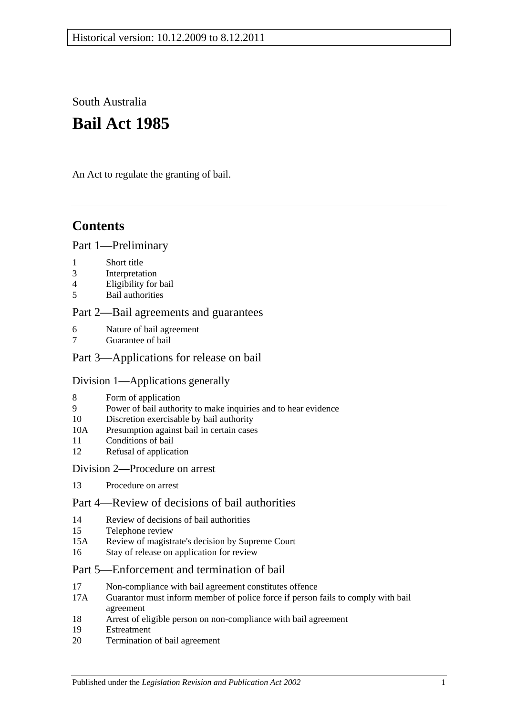South Australia

# **Bail Act 1985**

An Act to regulate the granting of bail.

## **Contents**

### [Part 1—Preliminary](#page-1-0)

- 1 [Short title](#page-1-1)
- 3 [Interpretation](#page-1-2)
- 4 [Eligibility for bail](#page-2-0)
- 5 [Bail authorities](#page-3-0)

#### [Part 2—Bail agreements and guarantees](#page-3-1)

- 6 [Nature of bail agreement](#page-3-2)
- [Guarantee of bail](#page-5-0)

## [Part 3—Applications for release on bail](#page-5-1)

#### [Division 1—Applications generally](#page-5-2)

- 8 [Form of application](#page-5-3)
- 9 [Power of bail authority to make inquiries and to hear evidence](#page-6-0)
- 10 [Discretion exercisable by bail authority](#page-6-1)
- 10A [Presumption against bail in certain cases](#page-7-0)
- 11 [Conditions of bail](#page-8-0)
- 12 [Refusal of application](#page-10-0)

#### [Division 2—Procedure on arrest](#page-11-0)

13 [Procedure on arrest](#page-11-1)

## [Part 4—Review of decisions of bail authorities](#page-11-2)

- 14 [Review of decisions of bail authorities](#page-11-3)
- 15 [Telephone review](#page-12-0)
- 15A [Review of magistrate's decision by Supreme Court](#page-13-0)
- 16 [Stay of release on application for review](#page-13-1)

## [Part 5—Enforcement and termination of bail](#page-14-0)

- 17 [Non-compliance with bail agreement constitutes offence](#page-14-1)
- 17A [Guarantor must inform member of police force if person fails to comply with bail](#page-14-2)  [agreement](#page-14-2)
- 18 [Arrest of eligible person on non-compliance with bail agreement](#page-14-3)
- 19 [Estreatment](#page-15-0)
- 20 [Termination of bail agreement](#page-15-1)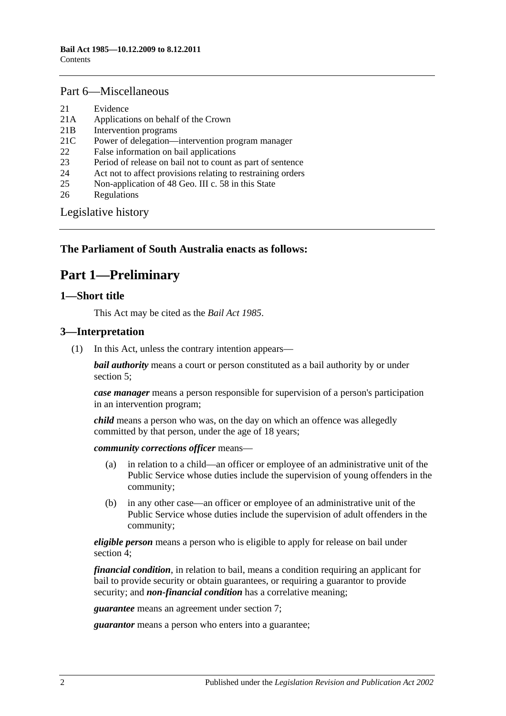#### [Part 6—Miscellaneous](#page-15-2)

- 21 [Evidence](#page-15-3)
- 21A [Applications on behalf of the Crown](#page-15-4)
- 21B [Intervention programs](#page-15-5)
- 21C [Power of delegation—intervention program manager](#page-17-0)
- 22 [False information on bail applications](#page-17-1)
- 23 [Period of release on bail not to count as part of sentence](#page-17-2)
- 24 [Act not to affect provisions relating to restraining orders](#page-17-3)
- 25 [Non-application of 48 Geo. III c. 58 in this State](#page-17-4)
- 26 [Regulations](#page-17-5)

[Legislative history](#page-18-0)

## <span id="page-1-0"></span>**The Parliament of South Australia enacts as follows:**

## **Part 1—Preliminary**

#### <span id="page-1-1"></span>**1—Short title**

This Act may be cited as the *Bail Act 1985*.

#### <span id="page-1-2"></span>**3—Interpretation**

(1) In this Act, unless the contrary intention appears—

*bail authority* means a court or person constituted as a bail authority by or under [section](#page-3-0) 5;

*case manager* means a person responsible for supervision of a person's participation in an intervention program;

*child* means a person who was, on the day on which an offence was allegedly committed by that person, under the age of 18 years;

*community corrections officer* means—

- (a) in relation to a child—an officer or employee of an administrative unit of the Public Service whose duties include the supervision of young offenders in the community;
- (b) in any other case—an officer or employee of an administrative unit of the Public Service whose duties include the supervision of adult offenders in the community;

*eligible person* means a person who is eligible to apply for release on bail under [section](#page-2-0) 4;

*financial condition*, in relation to bail, means a condition requiring an applicant for bail to provide security or obtain guarantees, or requiring a guarantor to provide security; and *non-financial condition* has a correlative meaning;

*guarantee* means an agreement under [section](#page-5-0) 7;

*guarantor* means a person who enters into a guarantee;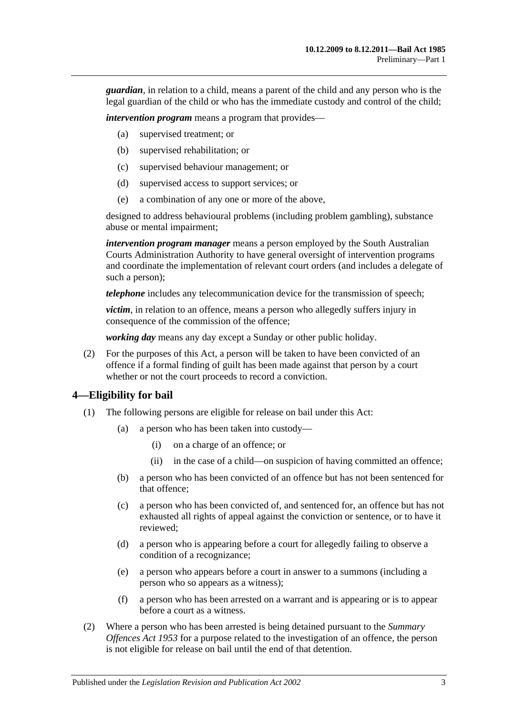*guardian*, in relation to a child, means a parent of the child and any person who is the legal guardian of the child or who has the immediate custody and control of the child;

*intervention program* means a program that provides—

- (a) supervised treatment; or
- (b) supervised rehabilitation; or
- (c) supervised behaviour management; or
- (d) supervised access to support services; or
- (e) a combination of any one or more of the above,

designed to address behavioural problems (including problem gambling), substance abuse or mental impairment;

*intervention program manager* means a person employed by the South Australian Courts Administration Authority to have general oversight of intervention programs and coordinate the implementation of relevant court orders (and includes a delegate of such a person);

*telephone* includes any telecommunication device for the transmission of speech;

*victim*, in relation to an offence, means a person who allegedly suffers injury in consequence of the commission of the offence;

*working day* means any day except a Sunday or other public holiday.

(2) For the purposes of this Act, a person will be taken to have been convicted of an offence if a formal finding of guilt has been made against that person by a court whether or not the court proceeds to record a conviction.

#### <span id="page-2-0"></span>**4—Eligibility for bail**

- (1) The following persons are eligible for release on bail under this Act:
	- (a) a person who has been taken into custody—
		- (i) on a charge of an offence; or
		- (ii) in the case of a child—on suspicion of having committed an offence;
	- (b) a person who has been convicted of an offence but has not been sentenced for that offence;
	- (c) a person who has been convicted of, and sentenced for, an offence but has not exhausted all rights of appeal against the conviction or sentence, or to have it reviewed;
	- (d) a person who is appearing before a court for allegedly failing to observe a condition of a recognizance;
	- (e) a person who appears before a court in answer to a summons (including a person who so appears as a witness);
	- (f) a person who has been arrested on a warrant and is appearing or is to appear before a court as a witness.
- (2) Where a person who has been arrested is being detained pursuant to the *[Summary](http://www.legislation.sa.gov.au/index.aspx?action=legref&type=act&legtitle=Summary%20Offences%20Act%201953)  [Offences Act](http://www.legislation.sa.gov.au/index.aspx?action=legref&type=act&legtitle=Summary%20Offences%20Act%201953) 1953* for a purpose related to the investigation of an offence, the person is not eligible for release on bail until the end of that detention.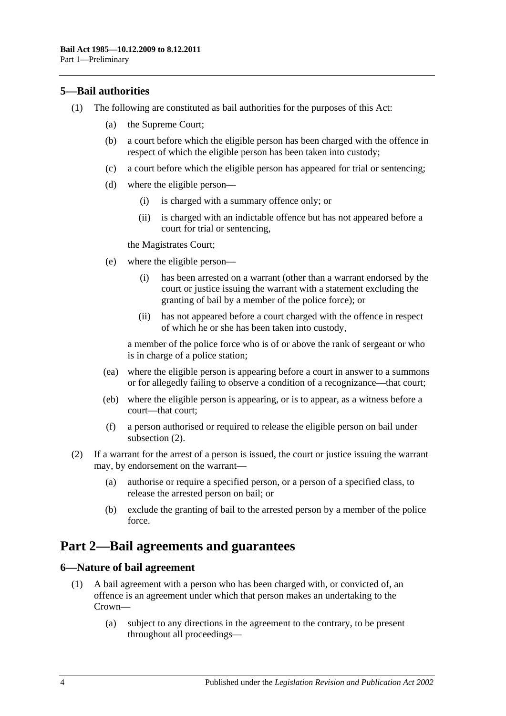## <span id="page-3-0"></span>**5—Bail authorities**

- (1) The following are constituted as bail authorities for the purposes of this Act:
	- (a) the Supreme Court;
	- (b) a court before which the eligible person has been charged with the offence in respect of which the eligible person has been taken into custody;
	- (c) a court before which the eligible person has appeared for trial or sentencing;
	- (d) where the eligible person—
		- (i) is charged with a summary offence only; or
		- (ii) is charged with an indictable offence but has not appeared before a court for trial or sentencing,

the Magistrates Court;

- (e) where the eligible person—
	- (i) has been arrested on a warrant (other than a warrant endorsed by the court or justice issuing the warrant with a statement excluding the granting of bail by a member of the police force); or
	- (ii) has not appeared before a court charged with the offence in respect of which he or she has been taken into custody,

a member of the police force who is of or above the rank of sergeant or who is in charge of a police station;

- (ea) where the eligible person is appearing before a court in answer to a summons or for allegedly failing to observe a condition of a recognizance—that court;
- (eb) where the eligible person is appearing, or is to appear, as a witness before a court—that court;
- (f) a person authorised or required to release the eligible person on bail under [subsection](#page-3-3) (2).
- <span id="page-3-3"></span>(2) If a warrant for the arrest of a person is issued, the court or justice issuing the warrant may, by endorsement on the warrant—
	- (a) authorise or require a specified person, or a person of a specified class, to release the arrested person on bail; or
	- (b) exclude the granting of bail to the arrested person by a member of the police force.

## <span id="page-3-1"></span>**Part 2—Bail agreements and guarantees**

#### <span id="page-3-4"></span><span id="page-3-2"></span>**6—Nature of bail agreement**

- (1) A bail agreement with a person who has been charged with, or convicted of, an offence is an agreement under which that person makes an undertaking to the Crown—
	- (a) subject to any directions in the agreement to the contrary, to be present throughout all proceedings—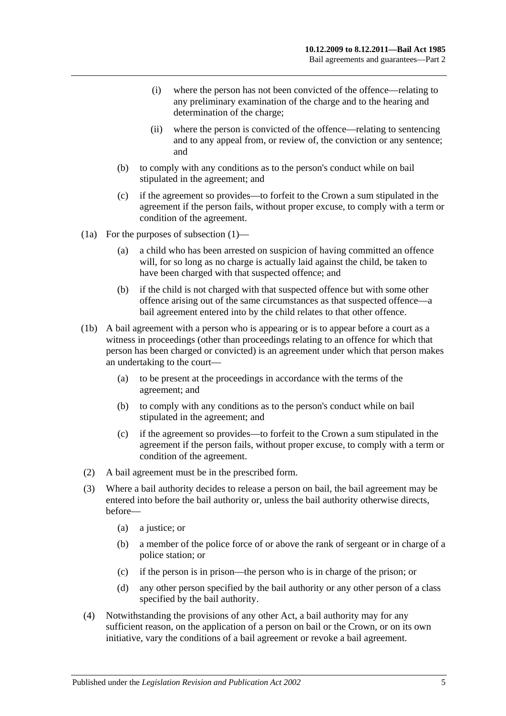- (i) where the person has not been convicted of the offence—relating to any preliminary examination of the charge and to the hearing and determination of the charge;
- (ii) where the person is convicted of the offence—relating to sentencing and to any appeal from, or review of, the conviction or any sentence; and
- (b) to comply with any conditions as to the person's conduct while on bail stipulated in the agreement; and
- (c) if the agreement so provides—to forfeit to the Crown a sum stipulated in the agreement if the person fails, without proper excuse, to comply with a term or condition of the agreement.
- (1a) For the purposes of [subsection](#page-3-4) (1)—
	- (a) a child who has been arrested on suspicion of having committed an offence will, for so long as no charge is actually laid against the child, be taken to have been charged with that suspected offence; and
	- (b) if the child is not charged with that suspected offence but with some other offence arising out of the same circumstances as that suspected offence—a bail agreement entered into by the child relates to that other offence.
- (1b) A bail agreement with a person who is appearing or is to appear before a court as a witness in proceedings (other than proceedings relating to an offence for which that person has been charged or convicted) is an agreement under which that person makes an undertaking to the court—
	- (a) to be present at the proceedings in accordance with the terms of the agreement; and
	- (b) to comply with any conditions as to the person's conduct while on bail stipulated in the agreement; and
	- (c) if the agreement so provides—to forfeit to the Crown a sum stipulated in the agreement if the person fails, without proper excuse, to comply with a term or condition of the agreement.
- (2) A bail agreement must be in the prescribed form.
- (3) Where a bail authority decides to release a person on bail, the bail agreement may be entered into before the bail authority or, unless the bail authority otherwise directs, before—
	- (a) a justice; or
	- (b) a member of the police force of or above the rank of sergeant or in charge of a police station; or
	- (c) if the person is in prison—the person who is in charge of the prison; or
	- (d) any other person specified by the bail authority or any other person of a class specified by the bail authority.
- (4) Notwithstanding the provisions of any other Act, a bail authority may for any sufficient reason, on the application of a person on bail or the Crown, or on its own initiative, vary the conditions of a bail agreement or revoke a bail agreement.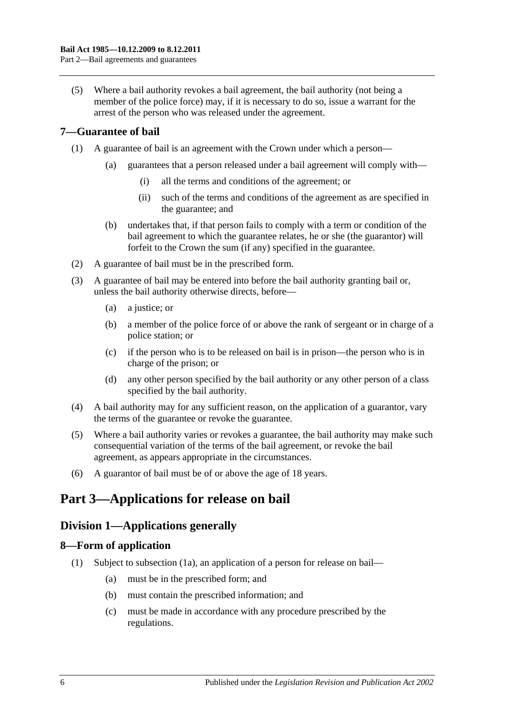(5) Where a bail authority revokes a bail agreement, the bail authority (not being a member of the police force) may, if it is necessary to do so, issue a warrant for the arrest of the person who was released under the agreement.

## <span id="page-5-0"></span>**7—Guarantee of bail**

- (1) A guarantee of bail is an agreement with the Crown under which a person—
	- (a) guarantees that a person released under a bail agreement will comply with—
		- (i) all the terms and conditions of the agreement; or
		- (ii) such of the terms and conditions of the agreement as are specified in the guarantee; and
	- (b) undertakes that, if that person fails to comply with a term or condition of the bail agreement to which the guarantee relates, he or she (the guarantor) will forfeit to the Crown the sum (if any) specified in the guarantee.
- (2) A guarantee of bail must be in the prescribed form.
- (3) A guarantee of bail may be entered into before the bail authority granting bail or, unless the bail authority otherwise directs, before—
	- (a) a justice; or
	- (b) a member of the police force of or above the rank of sergeant or in charge of a police station; or
	- (c) if the person who is to be released on bail is in prison—the person who is in charge of the prison; or
	- (d) any other person specified by the bail authority or any other person of a class specified by the bail authority.
- (4) A bail authority may for any sufficient reason, on the application of a guarantor, vary the terms of the guarantee or revoke the guarantee.
- (5) Where a bail authority varies or revokes a guarantee, the bail authority may make such consequential variation of the terms of the bail agreement, or revoke the bail agreement, as appears appropriate in the circumstances.
- (6) A guarantor of bail must be of or above the age of 18 years.

## <span id="page-5-1"></span>**Part 3—Applications for release on bail**

## <span id="page-5-2"></span>**Division 1—Applications generally**

## <span id="page-5-4"></span><span id="page-5-3"></span>**8—Form of application**

- (1) Subject to [subsection](#page-6-2) (1a), an application of a person for release on bail—
	- (a) must be in the prescribed form; and
	- (b) must contain the prescribed information; and
	- (c) must be made in accordance with any procedure prescribed by the regulations.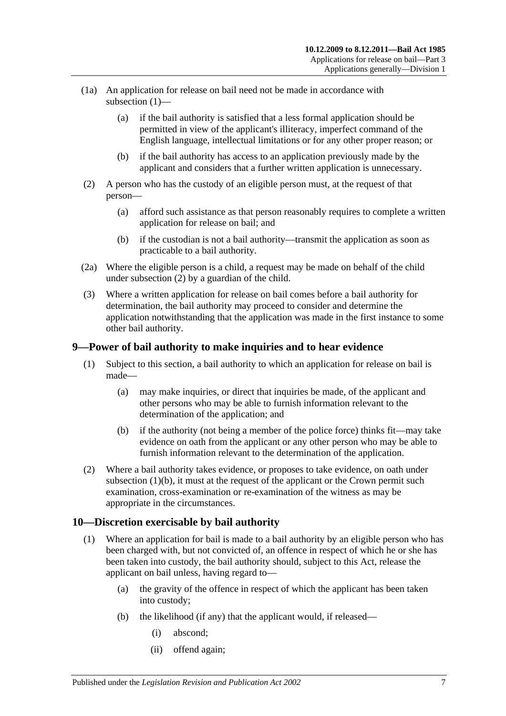- <span id="page-6-2"></span>(1a) An application for release on bail need not be made in accordance with [subsection](#page-5-4) (1)—
	- (a) if the bail authority is satisfied that a less formal application should be permitted in view of the applicant's illiteracy, imperfect command of the English language, intellectual limitations or for any other proper reason; or
	- (b) if the bail authority has access to an application previously made by the applicant and considers that a further written application is unnecessary.
- <span id="page-6-3"></span>(2) A person who has the custody of an eligible person must, at the request of that person—
	- (a) afford such assistance as that person reasonably requires to complete a written application for release on bail; and
	- (b) if the custodian is not a bail authority—transmit the application as soon as practicable to a bail authority.
- (2a) Where the eligible person is a child, a request may be made on behalf of the child under [subsection](#page-6-3) (2) by a guardian of the child.
- (3) Where a written application for release on bail comes before a bail authority for determination, the bail authority may proceed to consider and determine the application notwithstanding that the application was made in the first instance to some other bail authority.

## <span id="page-6-0"></span>**9—Power of bail authority to make inquiries and to hear evidence**

- (1) Subject to this section, a bail authority to which an application for release on bail is made—
	- (a) may make inquiries, or direct that inquiries be made, of the applicant and other persons who may be able to furnish information relevant to the determination of the application; and
	- (b) if the authority (not being a member of the police force) thinks fit—may take evidence on oath from the applicant or any other person who may be able to furnish information relevant to the determination of the application.
- <span id="page-6-4"></span>(2) Where a bail authority takes evidence, or proposes to take evidence, on oath under [subsection](#page-6-4)  $(1)(b)$ , it must at the request of the applicant or the Crown permit such examination, cross-examination or re-examination of the witness as may be appropriate in the circumstances.

## <span id="page-6-1"></span>**10—Discretion exercisable by bail authority**

- (1) Where an application for bail is made to a bail authority by an eligible person who has been charged with, but not convicted of, an offence in respect of which he or she has been taken into custody, the bail authority should, subject to this Act, release the applicant on bail unless, having regard to—
	- (a) the gravity of the offence in respect of which the applicant has been taken into custody;
	- (b) the likelihood (if any) that the applicant would, if released—
		- (i) abscond;
		- (ii) offend again;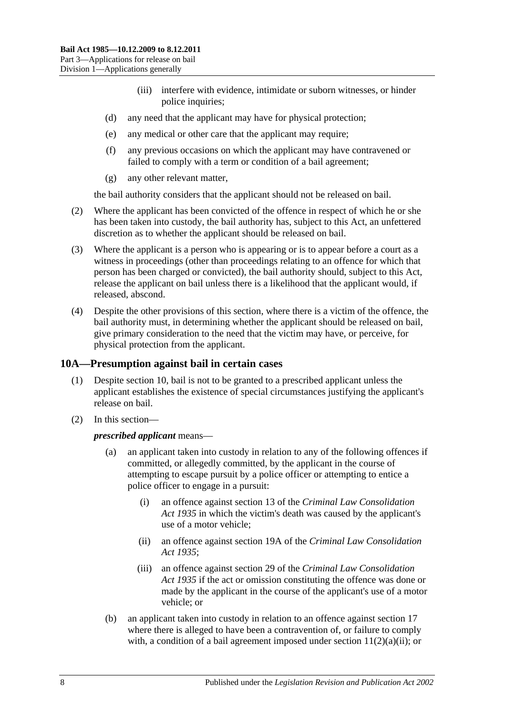- (iii) interfere with evidence, intimidate or suborn witnesses, or hinder police inquiries;
- (d) any need that the applicant may have for physical protection;
- (e) any medical or other care that the applicant may require;
- (f) any previous occasions on which the applicant may have contravened or failed to comply with a term or condition of a bail agreement;
- (g) any other relevant matter,

the bail authority considers that the applicant should not be released on bail.

- (2) Where the applicant has been convicted of the offence in respect of which he or she has been taken into custody, the bail authority has, subject to this Act, an unfettered discretion as to whether the applicant should be released on bail.
- (3) Where the applicant is a person who is appearing or is to appear before a court as a witness in proceedings (other than proceedings relating to an offence for which that person has been charged or convicted), the bail authority should, subject to this Act, release the applicant on bail unless there is a likelihood that the applicant would, if released, abscond.
- (4) Despite the other provisions of this section, where there is a victim of the offence, the bail authority must, in determining whether the applicant should be released on bail, give primary consideration to the need that the victim may have, or perceive, for physical protection from the applicant.

### <span id="page-7-0"></span>**10A—Presumption against bail in certain cases**

- (1) Despite [section](#page-6-1) 10, bail is not to be granted to a prescribed applicant unless the applicant establishes the existence of special circumstances justifying the applicant's release on bail.
- (2) In this section—

#### *prescribed applicant* means—

- (a) an applicant taken into custody in relation to any of the following offences if committed, or allegedly committed, by the applicant in the course of attempting to escape pursuit by a police officer or attempting to entice a police officer to engage in a pursuit:
	- (i) an offence against section 13 of the *[Criminal Law Consolidation](http://www.legislation.sa.gov.au/index.aspx?action=legref&type=act&legtitle=Criminal%20Law%20Consolidation%20Act%201935)  Act [1935](http://www.legislation.sa.gov.au/index.aspx?action=legref&type=act&legtitle=Criminal%20Law%20Consolidation%20Act%201935)* in which the victim's death was caused by the applicant's use of a motor vehicle;
	- (ii) an offence against section 19A of the *[Criminal Law Consolidation](http://www.legislation.sa.gov.au/index.aspx?action=legref&type=act&legtitle=Criminal%20Law%20Consolidation%20Act%201935)  Act [1935](http://www.legislation.sa.gov.au/index.aspx?action=legref&type=act&legtitle=Criminal%20Law%20Consolidation%20Act%201935)*;
	- (iii) an offence against section 29 of the *[Criminal Law Consolidation](http://www.legislation.sa.gov.au/index.aspx?action=legref&type=act&legtitle=Criminal%20Law%20Consolidation%20Act%201935)  Act [1935](http://www.legislation.sa.gov.au/index.aspx?action=legref&type=act&legtitle=Criminal%20Law%20Consolidation%20Act%201935)* if the act or omission constituting the offence was done or made by the applicant in the course of the applicant's use of a motor vehicle; or
- (b) an applicant taken into custody in relation to an offence against [section](#page-14-1) 17 where there is alleged to have been a contravention of, or failure to comply with, a condition of a bail agreement imposed under section  $11(2)(a)(ii)$ ; or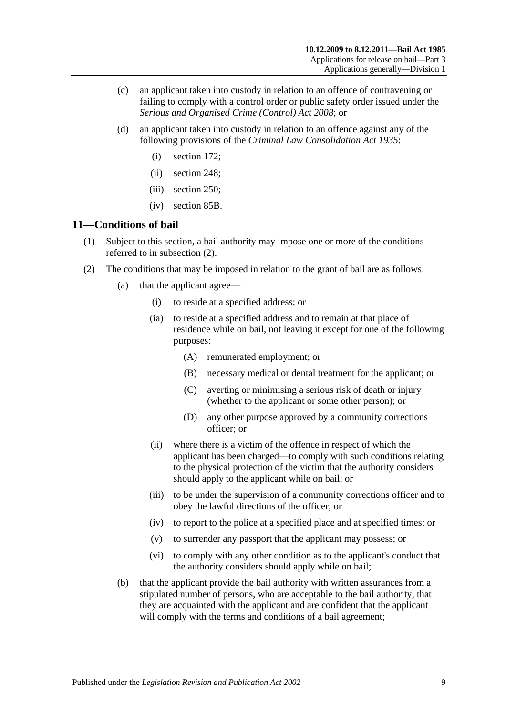- (c) an applicant taken into custody in relation to an offence of contravening or failing to comply with a control order or public safety order issued under the *[Serious and Organised Crime \(Control\) Act](http://www.legislation.sa.gov.au/index.aspx?action=legref&type=act&legtitle=Serious%20and%20Organised%20Crime%20(Control)%20Act%202008) 2008*; or
- (d) an applicant taken into custody in relation to an offence against any of the following provisions of the *[Criminal Law Consolidation Act](http://www.legislation.sa.gov.au/index.aspx?action=legref&type=act&legtitle=Criminal%20Law%20Consolidation%20Act%201935) 1935*:
	- (i) section 172;
	- (ii) section 248;
	- (iii) section 250;
	- (iv) section 85B.

## <span id="page-8-0"></span>**11—Conditions of bail**

- (1) Subject to this section, a bail authority may impose one or more of the conditions referred to in [subsection](#page-8-2) (2).
- <span id="page-8-4"></span><span id="page-8-3"></span><span id="page-8-2"></span><span id="page-8-1"></span>(2) The conditions that may be imposed in relation to the grant of bail are as follows:
	- (a) that the applicant agree—
		- (i) to reside at a specified address; or
		- (ia) to reside at a specified address and to remain at that place of residence while on bail, not leaving it except for one of the following purposes:
			- (A) remunerated employment; or
			- (B) necessary medical or dental treatment for the applicant; or
			- (C) averting or minimising a serious risk of death or injury (whether to the applicant or some other person); or
			- (D) any other purpose approved by a community corrections officer; or
		- (ii) where there is a victim of the offence in respect of which the applicant has been charged—to comply with such conditions relating to the physical protection of the victim that the authority considers should apply to the applicant while on bail; or
		- (iii) to be under the supervision of a community corrections officer and to obey the lawful directions of the officer; or
		- (iv) to report to the police at a specified place and at specified times; or
		- (v) to surrender any passport that the applicant may possess; or
		- (vi) to comply with any other condition as to the applicant's conduct that the authority considers should apply while on bail;
	- (b) that the applicant provide the bail authority with written assurances from a stipulated number of persons, who are acceptable to the bail authority, that they are acquainted with the applicant and are confident that the applicant will comply with the terms and conditions of a bail agreement;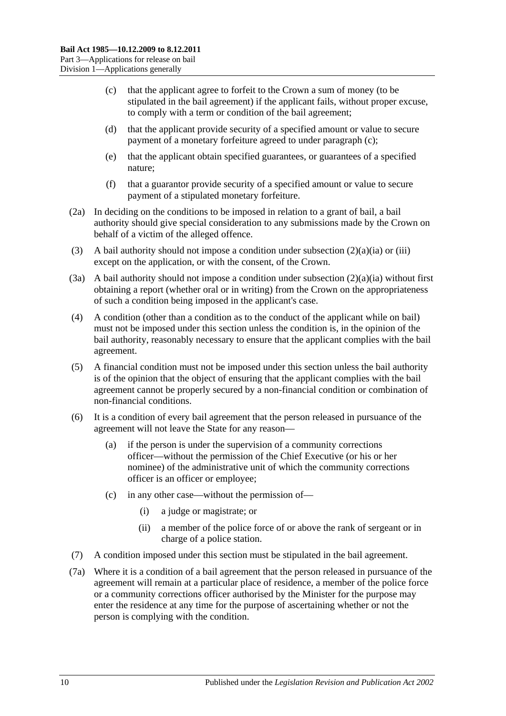- <span id="page-9-0"></span>(c) that the applicant agree to forfeit to the Crown a sum of money (to be stipulated in the bail agreement) if the applicant fails, without proper excuse, to comply with a term or condition of the bail agreement;
- (d) that the applicant provide security of a specified amount or value to secure payment of a monetary forfeiture agreed to under [paragraph](#page-9-0) (c);
- (e) that the applicant obtain specified guarantees, or guarantees of a specified nature;
- (f) that a guarantor provide security of a specified amount or value to secure payment of a stipulated monetary forfeiture.
- (2a) In deciding on the conditions to be imposed in relation to a grant of bail, a bail authority should give special consideration to any submissions made by the Crown on behalf of a victim of the alleged offence.
- (3) A bail authority should not impose a condition under [subsection](#page-8-3)  $(2)(a)(ia)$  or [\(iii\)](#page-8-4) except on the application, or with the consent, of the Crown.
- (3a) A bail authority should not impose a condition under [subsection](#page-8-3)  $(2)(a)(ia)$  without first obtaining a report (whether oral or in writing) from the Crown on the appropriateness of such a condition being imposed in the applicant's case.
- (4) A condition (other than a condition as to the conduct of the applicant while on bail) must not be imposed under this section unless the condition is, in the opinion of the bail authority, reasonably necessary to ensure that the applicant complies with the bail agreement.
- (5) A financial condition must not be imposed under this section unless the bail authority is of the opinion that the object of ensuring that the applicant complies with the bail agreement cannot be properly secured by a non-financial condition or combination of non-financial conditions.
- (6) It is a condition of every bail agreement that the person released in pursuance of the agreement will not leave the State for any reason—
	- (a) if the person is under the supervision of a community corrections officer—without the permission of the Chief Executive (or his or her nominee) of the administrative unit of which the community corrections officer is an officer or employee;
	- (c) in any other case—without the permission of—
		- (i) a judge or magistrate; or
		- (ii) a member of the police force of or above the rank of sergeant or in charge of a police station.
- (7) A condition imposed under this section must be stipulated in the bail agreement.
- <span id="page-9-1"></span>(7a) Where it is a condition of a bail agreement that the person released in pursuance of the agreement will remain at a particular place of residence, a member of the police force or a community corrections officer authorised by the Minister for the purpose may enter the residence at any time for the purpose of ascertaining whether or not the person is complying with the condition.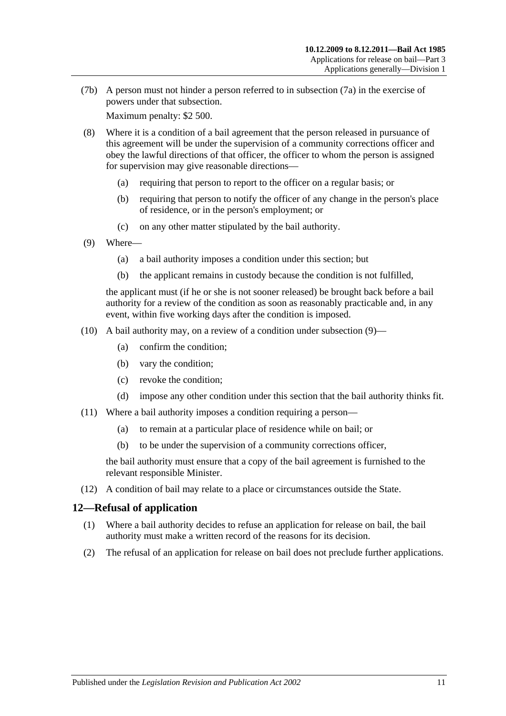(7b) A person must not hinder a person referred to in [subsection](#page-9-1) (7a) in the exercise of powers under that subsection.

Maximum penalty: \$2 500.

- (8) Where it is a condition of a bail agreement that the person released in pursuance of this agreement will be under the supervision of a community corrections officer and obey the lawful directions of that officer, the officer to whom the person is assigned for supervision may give reasonable directions—
	- (a) requiring that person to report to the officer on a regular basis; or
	- (b) requiring that person to notify the officer of any change in the person's place of residence, or in the person's employment; or
	- (c) on any other matter stipulated by the bail authority.
- <span id="page-10-1"></span>(9) Where—
	- (a) a bail authority imposes a condition under this section; but
	- (b) the applicant remains in custody because the condition is not fulfilled,

the applicant must (if he or she is not sooner released) be brought back before a bail authority for a review of the condition as soon as reasonably practicable and, in any event, within five working days after the condition is imposed.

- (10) A bail authority may, on a review of a condition under [subsection](#page-10-1)  $(9)$ 
	- (a) confirm the condition;
	- (b) vary the condition;
	- (c) revoke the condition;
	- (d) impose any other condition under this section that the bail authority thinks fit.
- (11) Where a bail authority imposes a condition requiring a person—
	- (a) to remain at a particular place of residence while on bail; or
	- (b) to be under the supervision of a community corrections officer,

the bail authority must ensure that a copy of the bail agreement is furnished to the relevant responsible Minister.

(12) A condition of bail may relate to a place or circumstances outside the State.

## <span id="page-10-0"></span>**12—Refusal of application**

- (1) Where a bail authority decides to refuse an application for release on bail, the bail authority must make a written record of the reasons for its decision.
- (2) The refusal of an application for release on bail does not preclude further applications.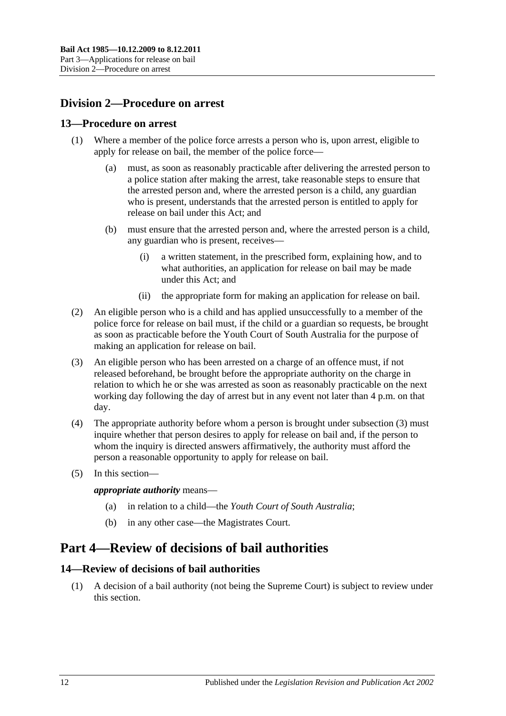## <span id="page-11-0"></span>**Division 2—Procedure on arrest**

### <span id="page-11-1"></span>**13—Procedure on arrest**

- (1) Where a member of the police force arrests a person who is, upon arrest, eligible to apply for release on bail, the member of the police force—
	- (a) must, as soon as reasonably practicable after delivering the arrested person to a police station after making the arrest, take reasonable steps to ensure that the arrested person and, where the arrested person is a child, any guardian who is present, understands that the arrested person is entitled to apply for release on bail under this Act; and
	- (b) must ensure that the arrested person and, where the arrested person is a child, any guardian who is present, receives—
		- (i) a written statement, in the prescribed form, explaining how, and to what authorities, an application for release on bail may be made under this Act; and
		- (ii) the appropriate form for making an application for release on bail.
- (2) An eligible person who is a child and has applied unsuccessfully to a member of the police force for release on bail must, if the child or a guardian so requests, be brought as soon as practicable before the Youth Court of South Australia for the purpose of making an application for release on bail.
- <span id="page-11-4"></span>(3) An eligible person who has been arrested on a charge of an offence must, if not released beforehand, be brought before the appropriate authority on the charge in relation to which he or she was arrested as soon as reasonably practicable on the next working day following the day of arrest but in any event not later than 4 p.m. on that day.
- (4) The appropriate authority before whom a person is brought under [subsection](#page-11-4) (3) must inquire whether that person desires to apply for release on bail and, if the person to whom the inquiry is directed answers affirmatively, the authority must afford the person a reasonable opportunity to apply for release on bail.
- (5) In this section—

*appropriate authority* means—

- (a) in relation to a child—the *Youth Court of South Australia*;
- (b) in any other case—the Magistrates Court.

## <span id="page-11-2"></span>**Part 4—Review of decisions of bail authorities**

## <span id="page-11-3"></span>**14—Review of decisions of bail authorities**

(1) A decision of a bail authority (not being the Supreme Court) is subject to review under this section.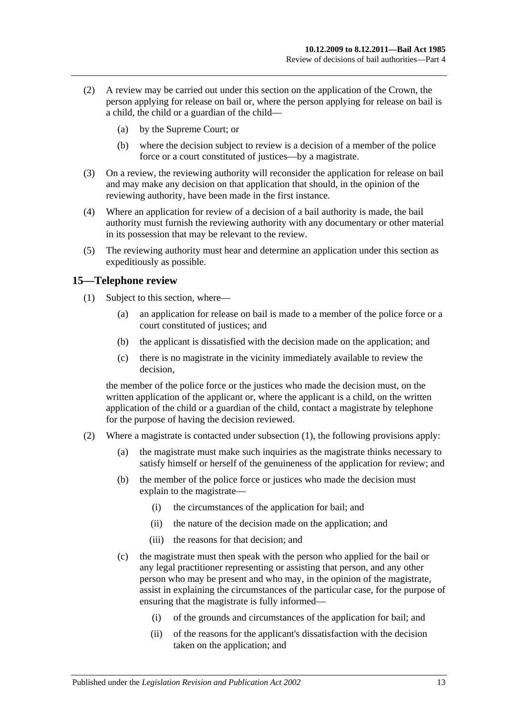- (2) A review may be carried out under this section on the application of the Crown, the person applying for release on bail or, where the person applying for release on bail is a child, the child or a guardian of the child—
	- (a) by the Supreme Court; or
	- (b) where the decision subject to review is a decision of a member of the police force or a court constituted of justices—by a magistrate.
- (3) On a review, the reviewing authority will reconsider the application for release on bail and may make any decision on that application that should, in the opinion of the reviewing authority, have been made in the first instance.
- (4) Where an application for review of a decision of a bail authority is made, the bail authority must furnish the reviewing authority with any documentary or other material in its possession that may be relevant to the review.
- (5) The reviewing authority must hear and determine an application under this section as expeditiously as possible.

## <span id="page-12-1"></span><span id="page-12-0"></span>**15—Telephone review**

- (1) Subject to this section, where—
	- (a) an application for release on bail is made to a member of the police force or a court constituted of justices; and
	- (b) the applicant is dissatisfied with the decision made on the application; and
	- (c) there is no magistrate in the vicinity immediately available to review the decision,

the member of the police force or the justices who made the decision must, on the written application of the applicant or, where the applicant is a child, on the written application of the child or a guardian of the child, contact a magistrate by telephone for the purpose of having the decision reviewed.

- (2) Where a magistrate is contacted under [subsection](#page-12-1) (1), the following provisions apply:
	- (a) the magistrate must make such inquiries as the magistrate thinks necessary to satisfy himself or herself of the genuineness of the application for review; and
	- (b) the member of the police force or justices who made the decision must explain to the magistrate—
		- (i) the circumstances of the application for bail; and
		- (ii) the nature of the decision made on the application; and
		- (iii) the reasons for that decision; and
	- (c) the magistrate must then speak with the person who applied for the bail or any legal practitioner representing or assisting that person, and any other person who may be present and who may, in the opinion of the magistrate, assist in explaining the circumstances of the particular case, for the purpose of ensuring that the magistrate is fully informed—
		- (i) of the grounds and circumstances of the application for bail; and
		- (ii) of the reasons for the applicant's dissatisfaction with the decision taken on the application; and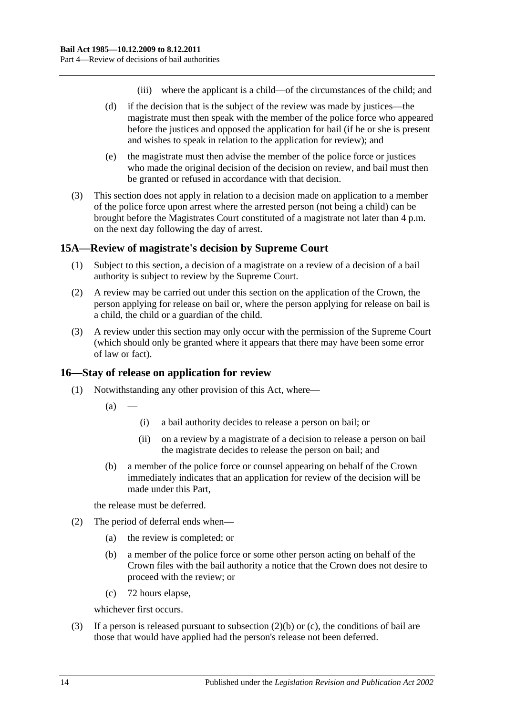- (iii) where the applicant is a child—of the circumstances of the child; and
- (d) if the decision that is the subject of the review was made by justices—the magistrate must then speak with the member of the police force who appeared before the justices and opposed the application for bail (if he or she is present and wishes to speak in relation to the application for review); and
- (e) the magistrate must then advise the member of the police force or justices who made the original decision of the decision on review, and bail must then be granted or refused in accordance with that decision.
- (3) This section does not apply in relation to a decision made on application to a member of the police force upon arrest where the arrested person (not being a child) can be brought before the Magistrates Court constituted of a magistrate not later than 4 p.m. on the next day following the day of arrest.

#### <span id="page-13-0"></span>**15A—Review of magistrate's decision by Supreme Court**

- (1) Subject to this section, a decision of a magistrate on a review of a decision of a bail authority is subject to review by the Supreme Court.
- (2) A review may be carried out under this section on the application of the Crown, the person applying for release on bail or, where the person applying for release on bail is a child, the child or a guardian of the child.
- (3) A review under this section may only occur with the permission of the Supreme Court (which should only be granted where it appears that there may have been some error of law or fact).

#### <span id="page-13-1"></span>**16—Stay of release on application for review**

- (1) Notwithstanding any other provision of this Act, where—
	- $(a)$
- (i) a bail authority decides to release a person on bail; or
- (ii) on a review by a magistrate of a decision to release a person on bail the magistrate decides to release the person on bail; and
- (b) a member of the police force or counsel appearing on behalf of the Crown immediately indicates that an application for review of the decision will be made under this Part,

the release must be deferred.

- <span id="page-13-2"></span>(2) The period of deferral ends when—
	- (a) the review is completed; or
	- (b) a member of the police force or some other person acting on behalf of the Crown files with the bail authority a notice that the Crown does not desire to proceed with the review; or
	- (c) 72 hours elapse,

whichever first occurs.

<span id="page-13-3"></span>(3) If a person is released pursuant to [subsection](#page-13-2) (2)(b) or [\(c\),](#page-13-3) the conditions of bail are those that would have applied had the person's release not been deferred.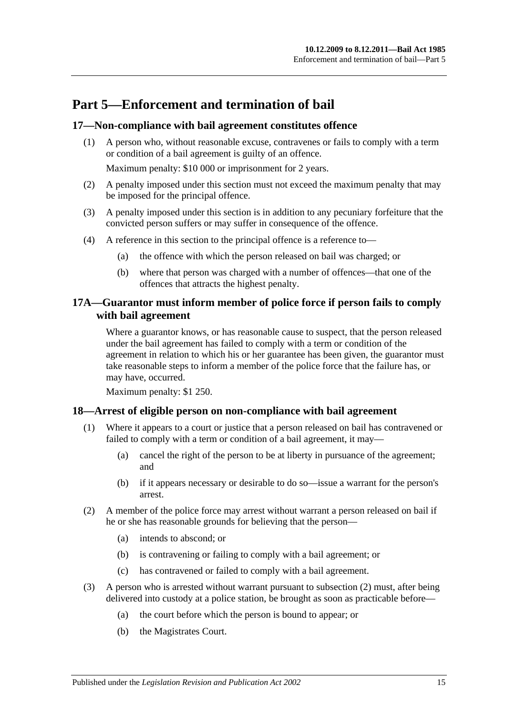## <span id="page-14-0"></span>**Part 5—Enforcement and termination of bail**

## <span id="page-14-1"></span>**17—Non-compliance with bail agreement constitutes offence**

(1) A person who, without reasonable excuse, contravenes or fails to comply with a term or condition of a bail agreement is guilty of an offence.

Maximum penalty: \$10 000 or imprisonment for 2 years.

- (2) A penalty imposed under this section must not exceed the maximum penalty that may be imposed for the principal offence.
- (3) A penalty imposed under this section is in addition to any pecuniary forfeiture that the convicted person suffers or may suffer in consequence of the offence.
- (4) A reference in this section to the principal offence is a reference to—
	- (a) the offence with which the person released on bail was charged; or
	- (b) where that person was charged with a number of offences—that one of the offences that attracts the highest penalty.

## <span id="page-14-2"></span>**17A—Guarantor must inform member of police force if person fails to comply with bail agreement**

Where a guarantor knows, or has reasonable cause to suspect, that the person released under the bail agreement has failed to comply with a term or condition of the agreement in relation to which his or her guarantee has been given, the guarantor must take reasonable steps to inform a member of the police force that the failure has, or may have, occurred.

Maximum penalty: \$1 250.

#### <span id="page-14-3"></span>**18—Arrest of eligible person on non-compliance with bail agreement**

- (1) Where it appears to a court or justice that a person released on bail has contravened or failed to comply with a term or condition of a bail agreement, it may—
	- (a) cancel the right of the person to be at liberty in pursuance of the agreement; and
	- (b) if it appears necessary or desirable to do so—issue a warrant for the person's arrest.
- <span id="page-14-4"></span>(2) A member of the police force may arrest without warrant a person released on bail if he or she has reasonable grounds for believing that the person—
	- (a) intends to abscond; or
	- (b) is contravening or failing to comply with a bail agreement; or
	- (c) has contravened or failed to comply with a bail agreement.
- (3) A person who is arrested without warrant pursuant to [subsection](#page-14-4) (2) must, after being delivered into custody at a police station, be brought as soon as practicable before—
	- (a) the court before which the person is bound to appear; or
	- (b) the Magistrates Court.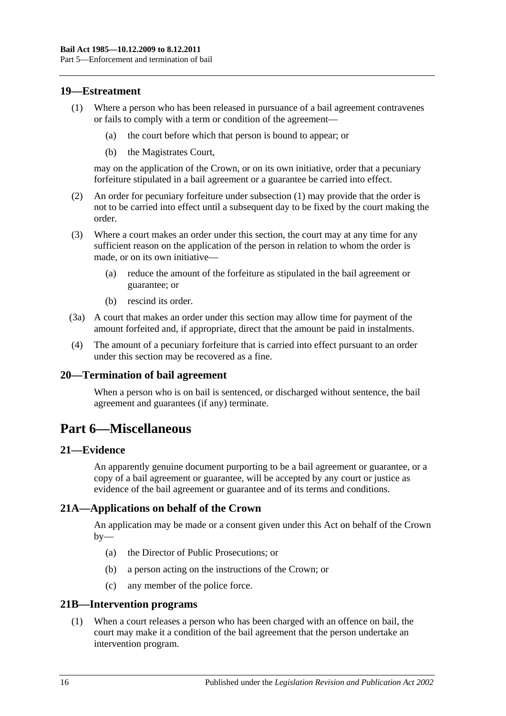### <span id="page-15-6"></span><span id="page-15-0"></span>**19—Estreatment**

- (1) Where a person who has been released in pursuance of a bail agreement contravenes or fails to comply with a term or condition of the agreement—
	- (a) the court before which that person is bound to appear; or
	- (b) the Magistrates Court,

may on the application of the Crown, or on its own initiative, order that a pecuniary forfeiture stipulated in a bail agreement or a guarantee be carried into effect.

- (2) An order for pecuniary forfeiture under [subsection](#page-15-6) (1) may provide that the order is not to be carried into effect until a subsequent day to be fixed by the court making the order.
- (3) Where a court makes an order under this section, the court may at any time for any sufficient reason on the application of the person in relation to whom the order is made, or on its own initiative—
	- (a) reduce the amount of the forfeiture as stipulated in the bail agreement or guarantee; or
	- (b) rescind its order.
- (3a) A court that makes an order under this section may allow time for payment of the amount forfeited and, if appropriate, direct that the amount be paid in instalments.
- (4) The amount of a pecuniary forfeiture that is carried into effect pursuant to an order under this section may be recovered as a fine.

#### <span id="page-15-1"></span>**20—Termination of bail agreement**

When a person who is on bail is sentenced, or discharged without sentence, the bail agreement and guarantees (if any) terminate.

## <span id="page-15-2"></span>**Part 6—Miscellaneous**

#### <span id="page-15-3"></span>**21—Evidence**

An apparently genuine document purporting to be a bail agreement or guarantee, or a copy of a bail agreement or guarantee, will be accepted by any court or justice as evidence of the bail agreement or guarantee and of its terms and conditions.

## <span id="page-15-4"></span>**21A—Applications on behalf of the Crown**

An application may be made or a consent given under this Act on behalf of the Crown  $by-$ 

- (a) the Director of Public Prosecutions; or
- (b) a person acting on the instructions of the Crown; or
- (c) any member of the police force.

#### <span id="page-15-5"></span>**21B—Intervention programs**

(1) When a court releases a person who has been charged with an offence on bail, the court may make it a condition of the bail agreement that the person undertake an intervention program.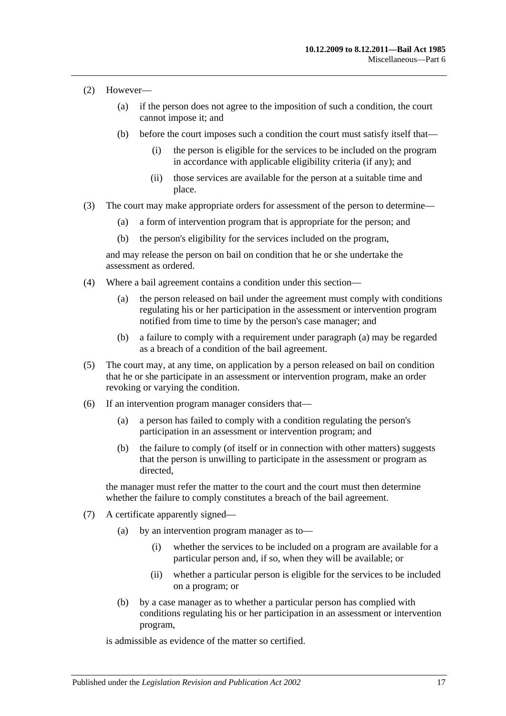- (2) However—
	- (a) if the person does not agree to the imposition of such a condition, the court cannot impose it; and
	- (b) before the court imposes such a condition the court must satisfy itself that—
		- (i) the person is eligible for the services to be included on the program in accordance with applicable eligibility criteria (if any); and
		- (ii) those services are available for the person at a suitable time and place.
- (3) The court may make appropriate orders for assessment of the person to determine—
	- (a) a form of intervention program that is appropriate for the person; and
	- (b) the person's eligibility for the services included on the program,

and may release the person on bail on condition that he or she undertake the assessment as ordered.

- <span id="page-16-0"></span>(4) Where a bail agreement contains a condition under this section—
	- (a) the person released on bail under the agreement must comply with conditions regulating his or her participation in the assessment or intervention program notified from time to time by the person's case manager; and
	- (b) a failure to comply with a requirement under [paragraph](#page-16-0) (a) may be regarded as a breach of a condition of the bail agreement.
- (5) The court may, at any time, on application by a person released on bail on condition that he or she participate in an assessment or intervention program, make an order revoking or varying the condition.
- (6) If an intervention program manager considers that—
	- (a) a person has failed to comply with a condition regulating the person's participation in an assessment or intervention program; and
	- (b) the failure to comply (of itself or in connection with other matters) suggests that the person is unwilling to participate in the assessment or program as directed,

the manager must refer the matter to the court and the court must then determine whether the failure to comply constitutes a breach of the bail agreement.

- (7) A certificate apparently signed—
	- (a) by an intervention program manager as to—
		- (i) whether the services to be included on a program are available for a particular person and, if so, when they will be available; or
		- (ii) whether a particular person is eligible for the services to be included on a program; or
	- (b) by a case manager as to whether a particular person has complied with conditions regulating his or her participation in an assessment or intervention program,

is admissible as evidence of the matter so certified.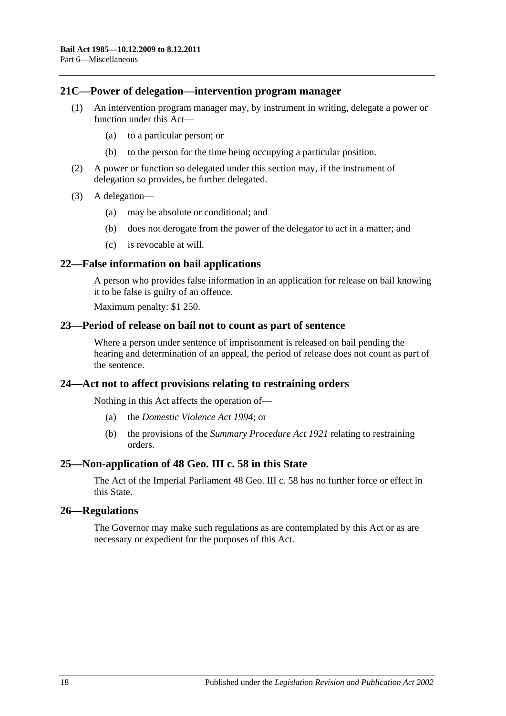#### <span id="page-17-0"></span>**21C—Power of delegation—intervention program manager**

- (1) An intervention program manager may, by instrument in writing, delegate a power or function under this Act—
	- (a) to a particular person; or
	- (b) to the person for the time being occupying a particular position.
- (2) A power or function so delegated under this section may, if the instrument of delegation so provides, be further delegated.
- (3) A delegation—
	- (a) may be absolute or conditional; and
	- (b) does not derogate from the power of the delegator to act in a matter; and
	- (c) is revocable at will.

#### <span id="page-17-1"></span>**22—False information on bail applications**

A person who provides false information in an application for release on bail knowing it to be false is guilty of an offence.

Maximum penalty: \$1 250.

#### <span id="page-17-2"></span>**23—Period of release on bail not to count as part of sentence**

Where a person under sentence of imprisonment is released on bail pending the hearing and determination of an appeal, the period of release does not count as part of the sentence.

#### <span id="page-17-3"></span>**24—Act not to affect provisions relating to restraining orders**

Nothing in this Act affects the operation of—

- (a) the *[Domestic Violence Act](http://www.legislation.sa.gov.au/index.aspx?action=legref&type=act&legtitle=Domestic%20Violence%20Act%201994) 1994*; or
- (b) the provisions of the *[Summary Procedure Act](http://www.legislation.sa.gov.au/index.aspx?action=legref&type=act&legtitle=Summary%20Procedure%20Act%201921) 1921* relating to restraining orders.

#### <span id="page-17-4"></span>**25—Non-application of 48 Geo. III c. 58 in this State**

The Act of the Imperial Parliament 48 Geo. III c. 58 has no further force or effect in this State.

#### <span id="page-17-5"></span>**26—Regulations**

The Governor may make such regulations as are contemplated by this Act or as are necessary or expedient for the purposes of this Act.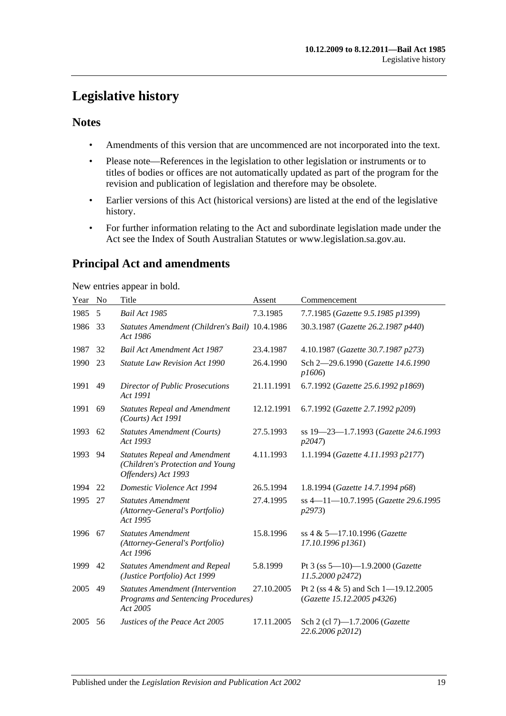## <span id="page-18-0"></span>**Legislative history**

## **Notes**

- Amendments of this version that are uncommenced are not incorporated into the text.
- Please note—References in the legislation to other legislation or instruments or to titles of bodies or offices are not automatically updated as part of the program for the revision and publication of legislation and therefore may be obsolete.
- Earlier versions of this Act (historical versions) are listed at the end of the legislative history.
- For further information relating to the Act and subordinate legislation made under the Act see the Index of South Australian Statutes or www.legislation.sa.gov.au.

## **Principal Act and amendments**

New entries appear in bold.

| Year | No | Title                                                                                           | Assent     | Commencement                                                           |
|------|----|-------------------------------------------------------------------------------------------------|------------|------------------------------------------------------------------------|
| 1985 | 5  | Bail Act 1985                                                                                   | 7.3.1985   | 7.7.1985 (Gazette 9.5.1985 p1399)                                      |
| 1986 | 33 | Statutes Amendment (Children's Bail) 10.4.1986<br>Act 1986                                      |            | 30.3.1987 (Gazette 26.2.1987 p440)                                     |
| 1987 | 32 | <b>Bail Act Amendment Act 1987</b>                                                              | 23.4.1987  | 4.10.1987 (Gazette 30.7.1987 p273)                                     |
| 1990 | 23 | <b>Statute Law Revision Act 1990</b>                                                            | 26.4.1990  | Sch 2-29.6.1990 (Gazette 14.6.1990)<br>p1606                           |
| 1991 | 49 | Director of Public Prosecutions<br>Act 1991                                                     | 21.11.1991 | 6.7.1992 (Gazette 25.6.1992 p1869)                                     |
| 1991 | 69 | <b>Statutes Repeal and Amendment</b><br>(Courts) Act 1991                                       | 12.12.1991 | 6.7.1992 (Gazette 2.7.1992 p209)                                       |
| 1993 | 62 | Statutes Amendment (Courts)<br>Act 1993                                                         | 27.5.1993  | ss 19–23–1.7.1993 (Gazette 24.6.1993<br>p2047                          |
| 1993 | 94 | <b>Statutes Repeal and Amendment</b><br>(Children's Protection and Young<br>Offenders) Act 1993 | 4.11.1993  | 1.1.1994 (Gazette 4.11.1993 p2177)                                     |
| 1994 | 22 | Domestic Violence Act 1994                                                                      | 26.5.1994  | 1.8.1994 (Gazette 14.7.1994 p68)                                       |
| 1995 | 27 | <b>Statutes Amendment</b><br>(Attorney-General's Portfolio)<br>Act 1995                         | 27.4.1995  | ss 4-11-10.7.1995 (Gazette 29.6.1995<br><i>p</i> 2973)                 |
| 1996 | 67 | <b>Statutes Amendment</b><br>(Attorney-General's Portfolio)<br>Act 1996                         | 15.8.1996  | ss 4 & 5-17.10.1996 (Gazette<br>17.10.1996 p1361)                      |
| 1999 | 42 | <b>Statutes Amendment and Repeal</b><br>(Justice Portfolio) Act 1999                            | 5.8.1999   | Pt 3 (ss 5-10)-1.9.2000 (Gazette<br>11.5.2000 p2472)                   |
| 2005 | 49 | <b>Statutes Amendment (Intervention</b><br>Programs and Sentencing Procedures)<br>Act 2005      | 27.10.2005 | Pt 2 (ss $4 \& 5$ ) and Sch 1-19.12.2005<br>(Gazette 15.12.2005 p4326) |
| 2005 | 56 | Justices of the Peace Act 2005                                                                  | 17.11.2005 | Sch 2 (cl 7)-1.7.2006 (Gazette<br>22.6.2006 p2012)                     |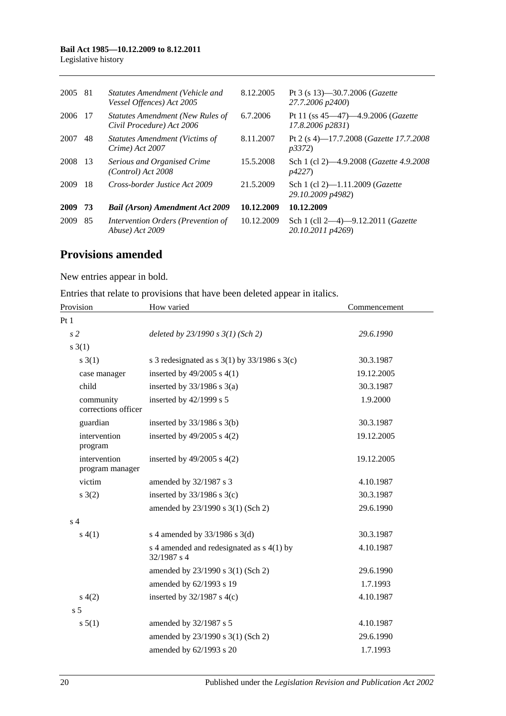## **Bail Act 1985—10.12.2009 to 8.12.2011**

Legislative history

| 2005 | -81 | Statutes Amendment (Vehicle and<br>Vessel Offences) Act 2005  | 8.12.2005  | Pt 3 (s 13)–30.7.2006 ( <i>Gazette</i><br>27.7.2006 p2400)           |
|------|-----|---------------------------------------------------------------|------------|----------------------------------------------------------------------|
| 2006 | -17 | Statutes Amendment (New Rules of<br>Civil Procedure) Act 2006 | 6.7.2006   | Pt 11 (ss $45-47$ ) $-4.9.2006$ ( <i>Gazette</i><br>17.8.2006 p2831) |
| 2007 | 48  | <b>Statutes Amendment (Victims of</b><br>Crime) Act 2007      | 8.11.2007  | Pt 2 (s 4)-17.7.2008 ( <i>Gazette 17.7.2008</i><br>p3372             |
| 2008 | -13 | Serious and Organised Crime<br>$(Control)$ Act 2008           | 15.5.2008  | Sch 1 (cl 2)-4.9.2008 (Gazette 4.9.2008)<br><i>p4227</i> )           |
| 2009 | 18  | Cross-border Justice Act 2009                                 | 21.5.2009  | Sch 1 (cl 2)-1.11.2009 ( <i>Gazette</i><br>29.10.2009 p4982)         |
| 2009 | 73  | <b>Bail (Arson) Amendment Act 2009</b>                        | 10.12.2009 | 10.12.2009                                                           |
| 2009 | 85  | Intervention Orders (Prevention of<br>Abuse) Act 2009         | 10.12.2009 | Sch 1 (cll 2-4)-9.12.2011 (Gazette<br>20.10.2011 p4269)              |

## **Provisions amended**

New entries appear in bold.

| Entries that relate to provisions that have been deleted appear in italics. |  |  |  |
|-----------------------------------------------------------------------------|--|--|--|
|-----------------------------------------------------------------------------|--|--|--|

| Provision                        | How varied                                                 | Commencement |
|----------------------------------|------------------------------------------------------------|--------------|
| Pt1                              |                                                            |              |
| s <sub>2</sub>                   | deleted by $23/1990 s 3(1)$ (Sch 2)                        | 29.6.1990    |
| $s \; 3(1)$                      |                                                            |              |
| s(3(1))                          | s 3 redesignated as s $3(1)$ by $33/1986$ s $3(c)$         | 30.3.1987    |
| case manager                     | inserted by $49/2005$ s $4(1)$                             | 19.12.2005   |
| child                            | inserted by $33/1986$ s $3(a)$                             | 30.3.1987    |
| community<br>corrections officer | inserted by 42/1999 s 5                                    | 1.9.2000     |
| guardian                         | inserted by $33/1986$ s $3(b)$                             | 30.3.1987    |
| intervention<br>program          | inserted by $49/2005$ s $4(2)$                             | 19.12.2005   |
| intervention<br>program manager  | inserted by $49/2005$ s $4(2)$                             | 19.12.2005   |
| victim                           | amended by 32/1987 s 3                                     | 4.10.1987    |
| $s \; 3(2)$                      | inserted by $33/1986$ s $3(c)$                             | 30.3.1987    |
|                                  | amended by 23/1990 s 3(1) (Sch 2)                          | 29.6.1990    |
| s <sub>4</sub>                   |                                                            |              |
| s(4(1))                          | s 4 amended by $33/1986$ s 3(d)                            | 30.3.1987    |
|                                  | s 4 amended and redesignated as $s$ 4(1) by<br>32/1987 s 4 | 4.10.1987    |
|                                  | amended by 23/1990 s 3(1) (Sch 2)                          | 29.6.1990    |
|                                  | amended by 62/1993 s 19                                    | 1.7.1993     |
| s(4(2)                           | inserted by $32/1987$ s 4(c)                               | 4.10.1987    |
| s <sub>5</sub>                   |                                                            |              |
| s 5(1)                           | amended by 32/1987 s 5                                     | 4.10.1987    |
|                                  | amended by 23/1990 s 3(1) (Sch 2)                          | 29.6.1990    |
|                                  | amended by 62/1993 s 20                                    | 1.7.1993     |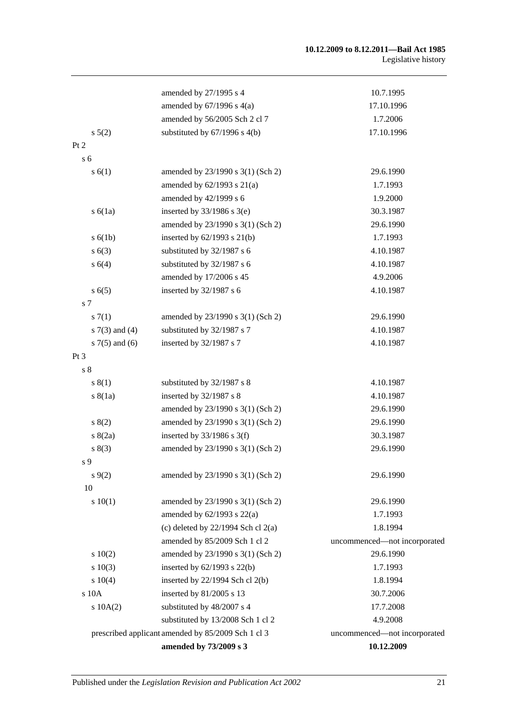#### **10.12.2009 to 8.12.2011—Bail Act 1985** Legislative history

|                     | amended by 27/1995 s 4                             | 10.7.1995                    |
|---------------------|----------------------------------------------------|------------------------------|
|                     | amended by $67/1996$ s $4(a)$                      | 17.10.1996                   |
|                     | amended by 56/2005 Sch 2 cl 7                      | 1.7.2006                     |
| $s\ 5(2)$           | substituted by $67/1996$ s $4(b)$                  | 17.10.1996                   |
| Pt 2                |                                                    |                              |
| s <sub>6</sub>      |                                                    |                              |
| s(6(1))             | amended by 23/1990 s 3(1) (Sch 2)                  | 29.6.1990                    |
|                     | amended by $62/1993$ s $21(a)$                     | 1.7.1993                     |
|                     | amended by 42/1999 s 6                             | 1.9.2000                     |
| s(6(1a))            | inserted by $33/1986$ s $3(e)$                     | 30.3.1987                    |
|                     | amended by 23/1990 s 3(1) (Sch 2)                  | 29.6.1990                    |
| s(6(1b))            | inserted by $62/1993$ s $21(b)$                    | 1.7.1993                     |
| s(63)               | substituted by 32/1987 s 6                         | 4.10.1987                    |
| s 6(4)              | substituted by 32/1987 s 6                         | 4.10.1987                    |
|                     | amended by 17/2006 s 45                            | 4.9.2006                     |
| s(6(5)              | inserted by 32/1987 s 6                            | 4.10.1987                    |
| $\sqrt{s}$ 7        |                                                    |                              |
| s(7(1)              | amended by 23/1990 s 3(1) (Sch 2)                  | 29.6.1990                    |
| s $7(3)$ and $(4)$  | substituted by 32/1987 s 7                         | 4.10.1987                    |
| $s \, 7(5)$ and (6) | inserted by 32/1987 s 7                            | 4.10.1987                    |
| Pt 3                |                                                    |                              |
| $\sqrt{s}$ 8        |                                                    |                              |
| s(1)                | substituted by 32/1987 s 8                         | 4.10.1987                    |
| s(8(1a))            | inserted by 32/1987 s 8                            | 4.10.1987                    |
|                     | amended by 23/1990 s 3(1) (Sch 2)                  | 29.6.1990                    |
| s(2)                | amended by 23/1990 s 3(1) (Sch 2)                  | 29.6.1990                    |
| s(2a)               | inserted by $33/1986$ s 3(f)                       | 30.3.1987                    |
| s(3)                | amended by 23/1990 s 3(1) (Sch 2)                  | 29.6.1990                    |
| s 9                 |                                                    |                              |
| $s\,9(2)$           | amended by 23/1990 s 3(1) (Sch 2)                  | 29.6.1990                    |
| 10                  |                                                    |                              |
| 10(1)               | amended by 23/1990 s 3(1) (Sch 2)                  | 29.6.1990                    |
|                     | amended by $62/1993$ s $22(a)$                     | 1.7.1993                     |
|                     | (c) deleted by $22/1994$ Sch cl $2(a)$             | 1.8.1994                     |
|                     | amended by 85/2009 Sch 1 cl 2                      | uncommenced-not incorporated |
| 10(2)               | amended by 23/1990 s 3(1) (Sch 2)                  | 29.6.1990                    |
| 10(3)               | inserted by 62/1993 s 22(b)                        | 1.7.1993                     |
| 10(4)               | inserted by 22/1994 Sch cl 2(b)                    | 1.8.1994                     |
| s 10A               | inserted by 81/2005 s 13                           | 30.7.2006                    |
| 10A(2)              | substituted by 48/2007 s 4                         | 17.7.2008                    |
|                     | substituted by 13/2008 Sch 1 cl 2                  | 4.9.2008                     |
|                     | prescribed applicant amended by 85/2009 Sch 1 cl 3 | uncommenced-not incorporated |
|                     | amended by 73/2009 s 3                             | 10.12.2009                   |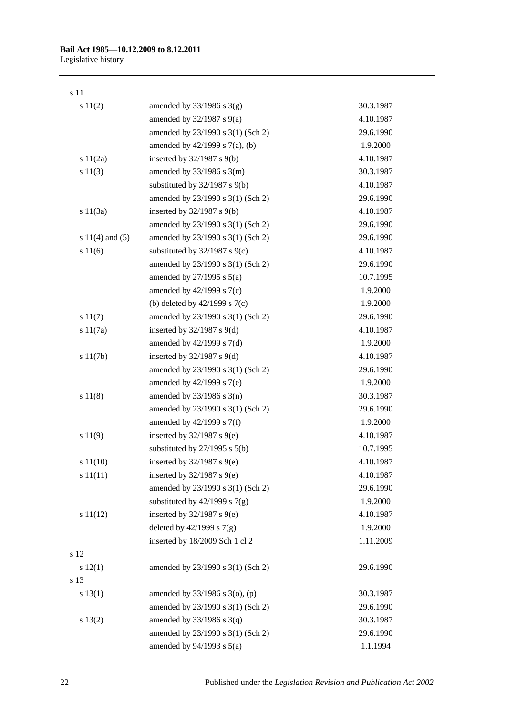#### s 11

| s 11(2)             | amended by $33/1986$ s $3(g)$       | 30.3.1987 |
|---------------------|-------------------------------------|-----------|
|                     | amended by $32/1987$ s $9(a)$       | 4.10.1987 |
|                     | amended by 23/1990 s 3(1) (Sch 2)   | 29.6.1990 |
|                     | amended by $42/1999$ s $7(a)$ , (b) | 1.9.2000  |
| s 11(2a)            | inserted by $32/1987$ s $9(b)$      | 4.10.1987 |
| s 11(3)             | amended by $33/1986$ s $3(m)$       | 30.3.1987 |
|                     | substituted by $32/1987$ s $9(b)$   | 4.10.1987 |
|                     | amended by 23/1990 s 3(1) (Sch 2)   | 29.6.1990 |
| s 11(3a)            | inserted by $32/1987$ s $9(b)$      | 4.10.1987 |
|                     | amended by 23/1990 s 3(1) (Sch 2)   | 29.6.1990 |
| s $11(4)$ and $(5)$ | amended by 23/1990 s 3(1) (Sch 2)   | 29.6.1990 |
| s 11(6)             | substituted by $32/1987$ s $9(c)$   | 4.10.1987 |
|                     | amended by 23/1990 s 3(1) (Sch 2)   | 29.6.1990 |
|                     | amended by $27/1995$ s $5(a)$       | 10.7.1995 |
|                     | amended by 42/1999 s 7(c)           | 1.9.2000  |
|                     | (b) deleted by $42/1999$ s $7(c)$   | 1.9.2000  |
| s 11(7)             | amended by 23/1990 s 3(1) (Sch 2)   | 29.6.1990 |
| s 11(7a)            | inserted by $32/1987$ s $9(d)$      | 4.10.1987 |
|                     | amended by $42/1999$ s $7(d)$       | 1.9.2000  |
| s 11(7b)            | inserted by $32/1987$ s $9(d)$      | 4.10.1987 |
|                     | amended by 23/1990 s 3(1) (Sch 2)   | 29.6.1990 |
|                     | amended by 42/1999 s 7(e)           | 1.9.2000  |
| s 11(8)             | amended by $33/1986$ s $3(n)$       | 30.3.1987 |
|                     | amended by 23/1990 s 3(1) (Sch 2)   | 29.6.1990 |
|                     | amended by 42/1999 s 7(f)           | 1.9.2000  |
| s 11(9)             | inserted by $32/1987$ s $9(e)$      | 4.10.1987 |
|                     | substituted by $27/1995$ s $5(b)$   | 10.7.1995 |
| s 11(10)            | inserted by $32/1987$ s $9(e)$      | 4.10.1987 |
| s 11(11)            | inserted by $32/1987$ s $9(e)$      | 4.10.1987 |
|                     | amended by 23/1990 s 3(1) (Sch 2)   | 29.6.1990 |
|                     | substituted by $42/1999$ s $7(g)$   | 1.9.2000  |
| s 11(12)            | inserted by $32/1987$ s $9(e)$      | 4.10.1987 |
|                     | deleted by $42/1999$ s $7(g)$       | 1.9.2000  |
|                     | inserted by 18/2009 Sch 1 cl 2      | 1.11.2009 |
| s 12                |                                     |           |
| 12(1)               | amended by 23/1990 s 3(1) (Sch 2)   | 29.6.1990 |
| s 13                |                                     |           |
| s 13(1)             | amended by 33/1986 s 3(o), (p)      | 30.3.1987 |
|                     | amended by 23/1990 s 3(1) (Sch 2)   | 29.6.1990 |
| $s\ 13(2)$          | amended by $33/1986$ s $3(q)$       | 30.3.1987 |
|                     | amended by 23/1990 s 3(1) (Sch 2)   | 29.6.1990 |
|                     | amended by $94/1993$ s $5(a)$       | 1.1.1994  |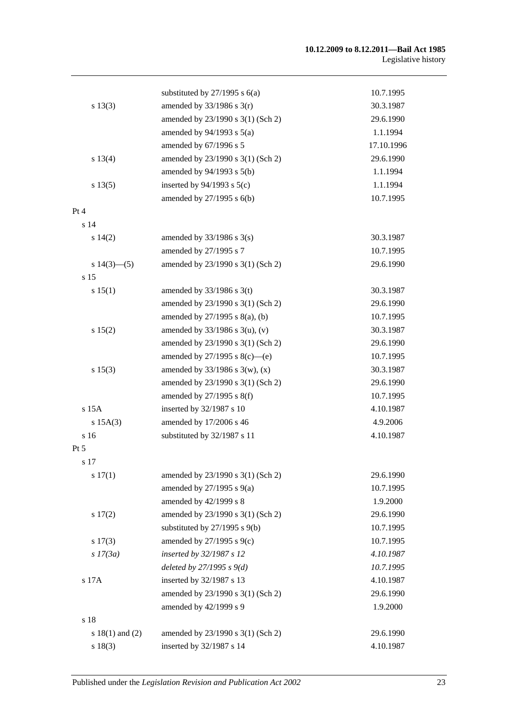#### **10.12.2009 to 8.12.2011—Bail Act 1985** Legislative history

|                     | substituted by $27/1995$ s $6(a)$   | 10.7.1995  |
|---------------------|-------------------------------------|------------|
| s 13(3)             | amended by $33/1986$ s $3(r)$       | 30.3.1987  |
|                     | amended by 23/1990 s 3(1) (Sch 2)   | 29.6.1990  |
|                     | amended by $94/1993$ s $5(a)$       | 1.1.1994   |
|                     | amended by 67/1996 s 5              | 17.10.1996 |
| s 13(4)             | amended by 23/1990 s 3(1) (Sch 2)   | 29.6.1990  |
|                     | amended by 94/1993 s 5(b)           | 1.1.1994   |
| s 13(5)             | inserted by $94/1993$ s $5(c)$      | 1.1.1994   |
|                     | amended by 27/1995 s 6(b)           | 10.7.1995  |
| Pt 4                |                                     |            |
| s <sub>14</sub>     |                                     |            |
| $s\ 14(2)$          | amended by $33/1986$ s $3(s)$       | 30.3.1987  |
|                     | amended by 27/1995 s 7              | 10.7.1995  |
| $s\ 14(3)$ - (5)    | amended by 23/1990 s 3(1) (Sch 2)   | 29.6.1990  |
| s <sub>15</sub>     |                                     |            |
| s 15(1)             | amended by $33/1986$ s 3(t)         | 30.3.1987  |
|                     | amended by 23/1990 s 3(1) (Sch 2)   | 29.6.1990  |
|                     | amended by $27/1995$ s $8(a)$ , (b) | 10.7.1995  |
| s 15(2)             | amended by $33/1986$ s $3(u)$ , (v) | 30.3.1987  |
|                     | amended by 23/1990 s 3(1) (Sch 2)   | 29.6.1990  |
|                     | amended by $27/1995$ s $8(c)$ —(e)  | 10.7.1995  |
| s 15(3)             | amended by $33/1986$ s 3(w), (x)    | 30.3.1987  |
|                     | amended by 23/1990 s 3(1) (Sch 2)   | 29.6.1990  |
|                     | amended by 27/1995 s 8(f)           | 10.7.1995  |
| s 15A               | inserted by 32/1987 s 10            | 4.10.1987  |
| $s$ 15A $(3)$       | amended by 17/2006 s 46             | 4.9.2006   |
| s <sub>16</sub>     | substituted by 32/1987 s 11         | 4.10.1987  |
| Pt 5                |                                     |            |
| s 17                |                                     |            |
| s 17(1)             | amended by 23/1990 s 3(1) (Sch 2)   | 29.6.1990  |
|                     | amended by $27/1995$ s $9(a)$       | 10.7.1995  |
|                     | amended by 42/1999 s 8              | 1.9.2000   |
| s 17(2)             | amended by 23/1990 s 3(1) (Sch 2)   | 29.6.1990  |
|                     | substituted by $27/1995$ s $9(b)$   | 10.7.1995  |
| $s\ 17(3)$          | amended by $27/1995$ s $9(c)$       | 10.7.1995  |
| s 17(3a)            | inserted by 32/1987 s 12            | 4.10.1987  |
|                     | deleted by $27/1995 s 9(d)$         | 10.7.1995  |
| s 17A               | inserted by 32/1987 s 13            | 4.10.1987  |
|                     | amended by 23/1990 s 3(1) (Sch 2)   | 29.6.1990  |
|                     | amended by 42/1999 s 9              | 1.9.2000   |
| s 18                |                                     |            |
| s $18(1)$ and $(2)$ | amended by 23/1990 s 3(1) (Sch 2)   | 29.6.1990  |
| s 18(3)             | inserted by 32/1987 s 14            | 4.10.1987  |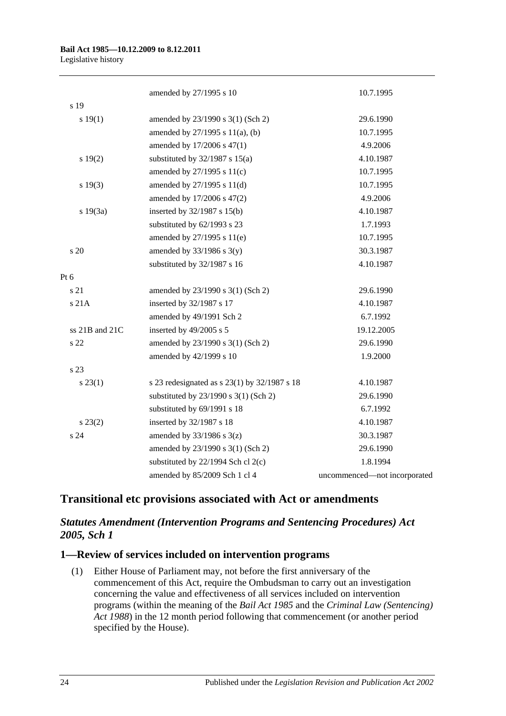|                | amended by 27/1995 s 10                      | 10.7.1995                    |
|----------------|----------------------------------------------|------------------------------|
| s 19           |                                              |                              |
| s 19(1)        | amended by 23/1990 s 3(1) (Sch 2)            | 29.6.1990                    |
|                | amended by $27/1995$ s $11(a)$ , (b)         | 10.7.1995                    |
|                | amended by 17/2006 s 47(1)                   | 4.9.2006                     |
| s 19(2)        | substituted by $32/1987$ s $15(a)$           | 4.10.1987                    |
|                | amended by 27/1995 s 11(c)                   | 10.7.1995                    |
| s 19(3)        | amended by 27/1995 s 11(d)                   | 10.7.1995                    |
|                | amended by 17/2006 s 47(2)                   | 4.9.2006                     |
| s 19(3a)       | inserted by 32/1987 s 15(b)                  | 4.10.1987                    |
|                | substituted by 62/1993 s 23                  | 1.7.1993                     |
|                | amended by 27/1995 s 11(e)                   | 10.7.1995                    |
| s 20           | amended by $33/1986$ s $3(y)$                | 30.3.1987                    |
|                | substituted by 32/1987 s 16                  | 4.10.1987                    |
| Pt 6           |                                              |                              |
| s 21           | amended by 23/1990 s 3(1) (Sch 2)            | 29.6.1990                    |
| s 21A          | inserted by 32/1987 s 17                     | 4.10.1987                    |
|                | amended by 49/1991 Sch 2                     | 6.7.1992                     |
| ss 21B and 21C | inserted by 49/2005 s 5                      | 19.12.2005                   |
| s 22           | amended by 23/1990 s 3(1) (Sch 2)            | 29.6.1990                    |
|                | amended by 42/1999 s 10                      | 1.9.2000                     |
| s 23           |                                              |                              |
| $s\,23(1)$     | s 23 redesignated as s 23(1) by 32/1987 s 18 | 4.10.1987                    |
|                | substituted by 23/1990 s 3(1) (Sch 2)        | 29.6.1990                    |
|                | substituted by 69/1991 s 18                  | 6.7.1992                     |
| $s\,23(2)$     | inserted by 32/1987 s 18                     | 4.10.1987                    |
| s 24           | amended by $33/1986$ s $3(z)$                | 30.3.1987                    |
|                | amended by 23/1990 s 3(1) (Sch 2)            | 29.6.1990                    |
|                | substituted by 22/1994 Sch cl 2(c)           | 1.8.1994                     |
|                | amended by 85/2009 Sch 1 cl 4                | uncommenced-not incorporated |

## **Transitional etc provisions associated with Act or amendments**

## *Statutes Amendment (Intervention Programs and Sentencing Procedures) Act 2005, Sch 1*

## **1—Review of services included on intervention programs**

(1) Either House of Parliament may, not before the first anniversary of the commencement of this Act, require the Ombudsman to carry out an investigation concerning the value and effectiveness of all services included on intervention programs (within the meaning of the *[Bail Act](http://www.legislation.sa.gov.au/index.aspx?action=legref&type=act&legtitle=Bail%20Act%201985) 1985* and the *[Criminal Law \(Sentencing\)](http://www.legislation.sa.gov.au/index.aspx?action=legref&type=act&legtitle=Criminal%20Law%20(Sentencing)%20Act%201988)  Act [1988](http://www.legislation.sa.gov.au/index.aspx?action=legref&type=act&legtitle=Criminal%20Law%20(Sentencing)%20Act%201988)*) in the 12 month period following that commencement (or another period specified by the House).